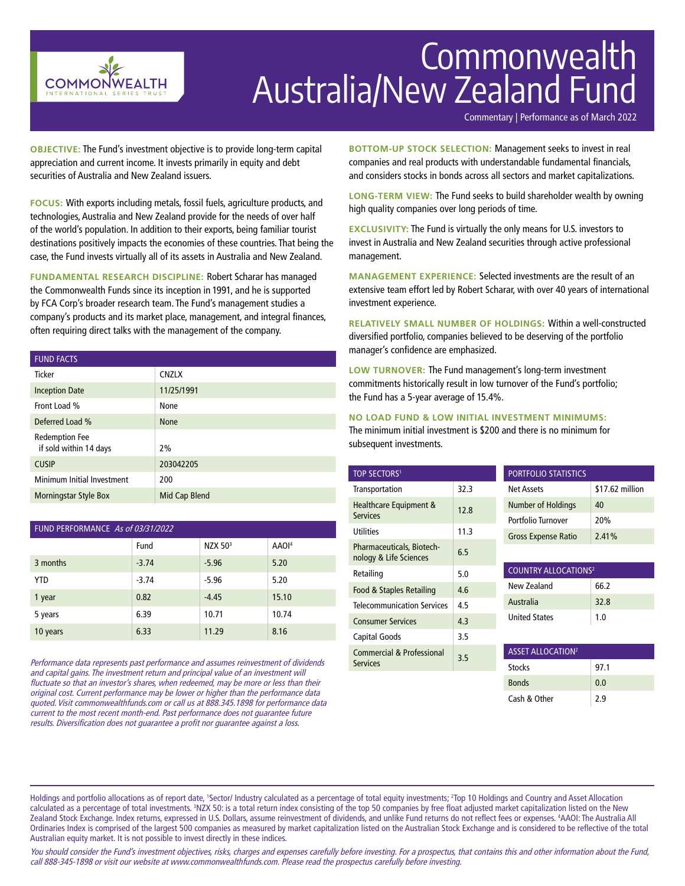

# Commonwealth Australia/New Zealand Fund

Commentary | Performance as of March 2022

**OBJECTIVE:** The Fund's investment objective is to provide long-term capital appreciation and current income. It invests primarily in equity and debt securities of Australia and New Zealand issuers.

**FOCUS:** With exports including metals, fossil fuels, agriculture products, and technologies, Australia and New Zealand provide for the needs of over half of the world's population. In addition to their exports, being familiar tourist destinations positively impacts the economies of these countries. That being the case, the Fund invests virtually all of its assets in Australia and New Zealand.

**FUNDAMENTAL RESEARCH DISCIPLINE:** Robert Scharar has managed the Commonwealth Funds since its inception in 1991, and he is supported by FCA Corp's broader research team. The Fund's management studies a company's products and its market place, management, and integral finances, often requiring direct talks with the management of the company.

| <b>FUND FACTS</b>                               |               |
|-------------------------------------------------|---------------|
| <b>Ticker</b>                                   | <b>CNZLX</b>  |
| <b>Inception Date</b>                           | 11/25/1991    |
| Front Load %                                    | None          |
| Deferred Load %                                 | <b>None</b>   |
| <b>Redemption Fee</b><br>if sold within 14 days | 2%            |
| <b>CUSIP</b>                                    | 203042205     |
| Minimum Initial Investment                      | 200           |
| <b>Morningstar Style Box</b>                    | Mid Cap Blend |

| FUND PERFORMANCE As of 03/31/2022 |         |                     |                   |  |  |
|-----------------------------------|---------|---------------------|-------------------|--|--|
|                                   | Fund    | NZX 50 <sup>3</sup> | AAOI <sup>4</sup> |  |  |
| 3 months                          | $-3.74$ | $-5.96$             | 5.20              |  |  |
| <b>YTD</b>                        | $-3.74$ | $-5.96$             | 5.20              |  |  |
| 1 year                            | 0.82    | $-4.45$             | 15.10             |  |  |
| 5 years                           | 6.39    | 10.71               | 10.74             |  |  |
| 10 years                          | 6.33    | 11.29               | 8.16              |  |  |

Performance data represents past performance and assumes reinvestment of dividends and capital gains. The investment return and principal value of an investment will fluctuate so that an investor's shares, when redeemed, may be more or less than their original cost. Current performance may be lower or higher than the performance data quoted. Visit commonwealthfunds.com or call us at 888.345.1898 for performance data current to the most recent month-end. Past performance does not guarantee future results. Diversification does not guarantee a profit nor guarantee against a loss.

**BOTTOM-UP STOCK SELECTION:** Management seeks to invest in real companies and real products with understandable fundamental financials, and considers stocks in bonds across all sectors and market capitalizations.

**LONG-TERM VIEW:** The Fund seeks to build shareholder wealth by owning high quality companies over long periods of time.

**EXCLUSIVITY:** The Fund is virtually the only means for U.S. investors to invest in Australia and New Zealand securities through active professional management.

**MANAGEMENT EXPERIENCE:** Selected investments are the result of an extensive team effort led by Robert Scharar, with over 40 years of international investment experience.

**RELATIVELY SMALL NUMBER OF HOLDINGS:** Within a well-constructed diversified portfolio, companies believed to be deserving of the portfolio manager's confidence are emphasized.

**LOW TURNOVER:** The Fund management's long-term investment commitments historically result in low turnover of the Fund's portfolio; the Fund has a 5-year average of 15.4%.

## **NO LOAD FUND & LOW INITIAL INVESTMENT MINIMUMS:**

The minimum initial investment is \$200 and there is no minimum for subsequent investments.

| <b>TOP SECTORS1</b>                                     |      | <b>PORTFOLIO STATISTICS</b>            |                 |  |
|---------------------------------------------------------|------|----------------------------------------|-----------------|--|
| Transportation                                          | 32.3 | Net Assets                             | \$17.62 million |  |
| Healthcare Equipment &<br><b>Services</b>               | 12.8 | Number of Holdings                     | 40              |  |
|                                                         |      | Portfolio Turnover                     | 20%             |  |
| <b>Utilities</b>                                        | 11.3 | <b>Gross Expense Ratio</b>             | 2.41%           |  |
| Pharmaceuticals, Biotech-<br>nology & Life Sciences     | 6.5  |                                        |                 |  |
| Retailing                                               | 5.0  | <b>COUNTRY ALLOCATIONS<sup>2</sup></b> |                 |  |
| Food & Staples Retailing                                | 4.6  | New Zealand                            | 66.2            |  |
| <b>Telecommunication Services</b>                       | 4.5  | Australia                              | 32.8            |  |
| <b>Consumer Services</b>                                | 4.3  | <b>United States</b>                   | 1.0             |  |
| Capital Goods                                           | 3.5  |                                        |                 |  |
| <b>Commercial &amp; Professional</b><br><b>Services</b> | 3.5  | <b>ASSET ALLOCATION<sup>2</sup></b>    |                 |  |
|                                                         |      | <b>Stocks</b>                          | 97.1            |  |
|                                                         |      | <b>Ronds</b>                           | 0 <sub>0</sub>  |  |

Cash & Other  $\vert$  2.9

Holdings and portfolio allocations as of report date, 'Sector/ Industry calculated as a percentage of total equity investments; <sup>2</sup>Top 10 Holdings and Country and Asset Allocation calculated as a percentage of total investments. <sup>3</sup>NZX 50: is a total return index consisting of the top 50 companies by free float adjusted market capitalization listed on the New Zealand Stock Exchange. Index returns, expressed in U.S. Dollars, assume reinvestment of dividends, and unlike Fund returns do not reflect fees or expenses. 4 AAOI: The Australia All Ordinaries Index is comprised of the largest 500 companies as measured by market capitalization listed on the Australian Stock Exchange and is considered to be reflective of the total Australian equity market. It is not possible to invest directly in these indices.

You should consider the Fund's investment objectives, risks, charges and expenses carefully before investing. For a prospectus, that contains this and other information about the Fund, call 888-345-1898 or visit our website at www.commonwealthfunds.com. Please read the prospectus carefully before investing.